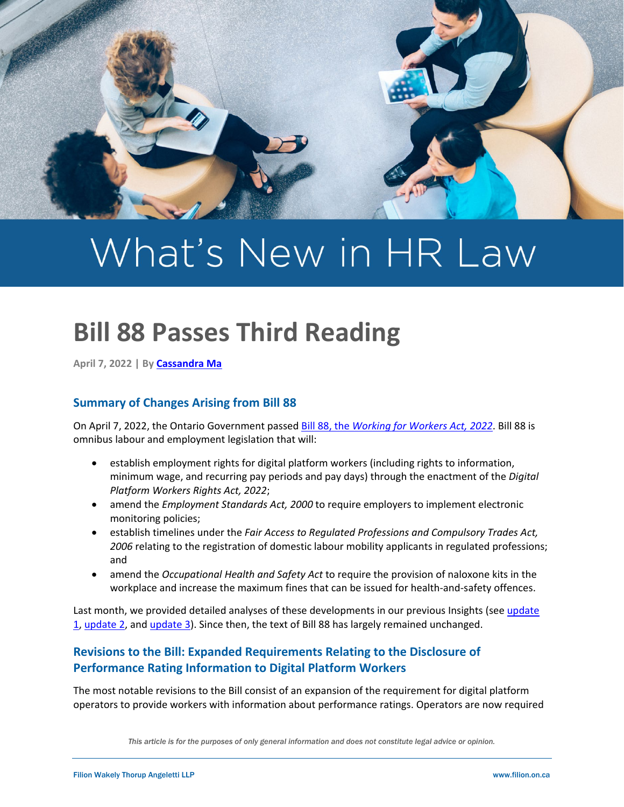

# What's New in HR Law

# **Bill 88 Passes Third Reading**

**April 7, 2022 | B[y Cassandra Ma](https://filion.on.ca/lawyers/cassandra-ma/)**

### **Summary of Changes Arising from Bill 88**

On April 7, 2022, the Ontario Government passed Bill 88, the *[Working for Workers Act, 2022](https://www.ola.org/en/legislative-business/bills/parliament-42/session-2/bill-88)*. Bill 88 is omnibus labour and employment legislation that will:

- establish employment rights for digital platform workers (including rights to information, minimum wage, and recurring pay periods and pay days) through the enactment of the *Digital Platform Workers Rights Act, 2022*;
- amend the *Employment Standards Act, 2000* to require employers to implement electronic monitoring policies;
- establish timelines under the *Fair Access to Regulated Professions and Compulsory Trades Act, 2006* relating to the registration of domestic labour mobility applicants in regulated professions; and
- amend the *Occupational Health and Safety Act* to require the provision of naloxone kits in the workplace and increase the maximum fines that can be issued for health-and-safety offences.

Last month, we provided detailed analyses of these developments in our previous Insights (see update [1,](https://filion.on.ca/insights/test/) [update 2,](https://filion.on.ca/insights/fair-access-to-regulation-professions-and-compulsory-trades-act/) and [update 3\)](https://filion.on.ca/insights/ontario-proposes-a-minimum-wage-and-other-work-related-protections-for-digital-platform-workers/). Since then, the text of Bill 88 has largely remained unchanged.

## **Revisions to the Bill: Expanded Requirements Relating to the Disclosure of Performance Rating Information to Digital Platform Workers**

The most notable revisions to the Bill consist of an expansion of the requirement for digital platform operators to provide workers with information about performance ratings. Operators are now required

*This article is for the purposes of only general information and does not constitute legal advice or opinion.*